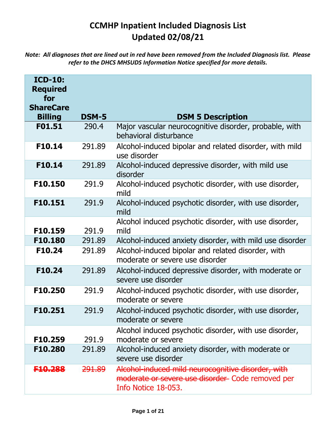## **CCMHP Inpatient Included Diagnosis List Updated 02/08/21**

*Note: All diagnoses that are lined out in red have been removed from the Included Diagnosis list. Please refer to the DHCS MHSUDS Information Notice specified for more details.*

| <b>ICD-10:</b><br><b>Required</b><br>for<br><b>ShareCare</b><br><b>Billing</b> | <b>DSM-5</b>      | <b>DSM 5 Description</b>                                                                                                      |
|--------------------------------------------------------------------------------|-------------------|-------------------------------------------------------------------------------------------------------------------------------|
| F01.51                                                                         | 290.4             | Major vascular neurocognitive disorder, probable, with<br>behavioral disturbance                                              |
| F10.14                                                                         | 291.89            | Alcohol-induced bipolar and related disorder, with mild<br>use disorder                                                       |
| F10.14                                                                         | 291.89            | Alcohol-induced depressive disorder, with mild use<br>disorder                                                                |
| F10.150                                                                        | 291.9             | Alcohol-induced psychotic disorder, with use disorder,<br>mild                                                                |
| F10.151                                                                        | 291.9             | Alcohol-induced psychotic disorder, with use disorder,<br>mild                                                                |
| F10.159                                                                        | 291.9             | Alcohol induced psychotic disorder, with use disorder,<br>mild                                                                |
| F10.180                                                                        | 291.89            | Alcohol-induced anxiety disorder, with mild use disorder                                                                      |
| F10.24                                                                         | 291.89            | Alcohol-induced bipolar and related disorder, with<br>moderate or severe use disorder                                         |
| F10.24                                                                         | 291.89            | Alcohol-induced depressive disorder, with moderate or<br>severe use disorder                                                  |
| F10.250                                                                        | 291.9             | Alcohol-induced psychotic disorder, with use disorder,<br>moderate or severe                                                  |
| F10.251                                                                        | 291.9             | Alcohol-induced psychotic disorder, with use disorder,<br>moderate or severe                                                  |
| F10.259                                                                        | 291.9             | Alcohol induced psychotic disorder, with use disorder,<br>moderate or severe                                                  |
| F10.280                                                                        | 291.89            | Alcohol-induced anxiety disorder, with moderate or<br>severe use disorder                                                     |
| F <del>10.288</del>                                                            | <del>291.89</del> | Alcohol-induced mild neurocognitive disorder, with<br>moderate or severe use disorder Code removed per<br>Info Notice 18-053. |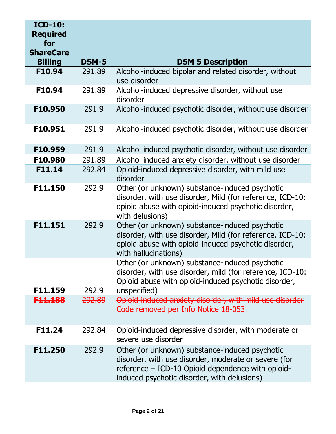| <b>ICD-10:</b><br><b>Required</b><br>for<br><b>ShareCare</b> |                   |                                                                                                                                                                                                            |
|--------------------------------------------------------------|-------------------|------------------------------------------------------------------------------------------------------------------------------------------------------------------------------------------------------------|
| <b>Billing</b>                                               | <b>DSM-5</b>      | <b>DSM 5 Description</b>                                                                                                                                                                                   |
| F10.94                                                       | 291.89            | Alcohol-induced bipolar and related disorder, without<br>use disorder                                                                                                                                      |
| F10.94                                                       | 291.89            | Alcohol-induced depressive disorder, without use<br>disorder                                                                                                                                               |
| F10.950                                                      | 291.9             | Alcohol-induced psychotic disorder, without use disorder                                                                                                                                                   |
| F10.951                                                      | 291.9             | Alcohol-induced psychotic disorder, without use disorder                                                                                                                                                   |
| F10.959                                                      | 291.9             | Alcohol induced psychotic disorder, without use disorder                                                                                                                                                   |
| F10.980                                                      | 291.89            | Alcohol induced anxiety disorder, without use disorder                                                                                                                                                     |
| F11.14                                                       | 292.84            | Opioid-induced depressive disorder, with mild use<br>disorder                                                                                                                                              |
| F11.150                                                      | 292.9             | Other (or unknown) substance-induced psychotic<br>disorder, with use disorder, Mild (for reference, ICD-10:<br>opioid abuse with opioid-induced psychotic disorder,<br>with delusions)                     |
| F11.151                                                      | 292.9             | Other (or unknown) substance-induced psychotic<br>disorder, with use disorder, Mild (for reference, ICD-10:<br>opioid abuse with opioid-induced psychotic disorder,<br>with hallucinations)                |
| F11.159                                                      | 292.9             | Other (or unknown) substance-induced psychotic<br>disorder, with use disorder, mild (for reference, ICD-10:<br>Opioid abuse with opioid-induced psychotic disorder,<br>unspecified)                        |
| <del>F11.188</del>                                           | <del>292.89</del> | Opioid induced anxiety disorder, with mild use disorder                                                                                                                                                    |
|                                                              |                   | Code removed per Info Notice 18-053.                                                                                                                                                                       |
| F11.24                                                       | 292.84            | Opioid-induced depressive disorder, with moderate or<br>severe use disorder                                                                                                                                |
| F11.250                                                      | 292.9             | Other (or unknown) substance-induced psychotic<br>disorder, with use disorder, moderate or severe (for<br>reference – ICD-10 Opioid dependence with opioid-<br>induced psychotic disorder, with delusions) |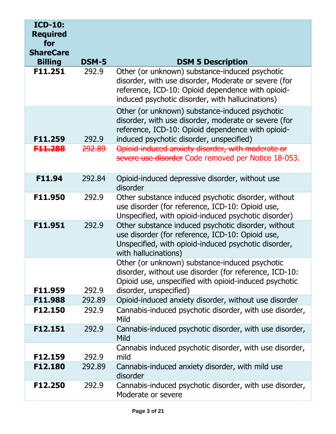| <b>ICD-10:</b><br><b>Required</b><br>for<br><b>ShareCare</b> |              |                                                                                                                                                                                                                 |
|--------------------------------------------------------------|--------------|-----------------------------------------------------------------------------------------------------------------------------------------------------------------------------------------------------------------|
| <b>Billing</b>                                               | <b>DSM-5</b> | <b>DSM 5 Description</b>                                                                                                                                                                                        |
| F11.251                                                      | 292.9        | Other (or unknown) substance-induced psychotic<br>disorder, with use disorder, Moderate or severe (for<br>reference, ICD-10: Opioid dependence with opioid-<br>induced psychotic disorder, with hallucinations) |
| F11.259                                                      | 292.9        | Other (or unknown) substance-induced psychotic<br>disorder, with use disorder, moderate or severe (for<br>reference, ICD-10: Opioid dependence with opioid-<br>induced psychotic disorder, unspecified)         |
| <del>F11.288</del>                                           | 292.89       | Opioid-induced anxiety disorder, with moderate or<br>severe use disorder Code removed per Notice 18-053.                                                                                                        |
| F11.94                                                       | 292.84       | Opioid-induced depressive disorder, without use<br>disorder                                                                                                                                                     |
| F11.950                                                      | 292.9        | Other substance induced psychotic disorder, without<br>use disorder (for reference, ICD-10: Opioid use,<br>Unspecified, with opioid-induced psychotic disorder)                                                 |
| F11.951                                                      | 292.9        | Other substance induced psychotic disorder, without<br>use disorder (for reference, ICD-10: Opioid use,<br>Unspecified, with opioid-induced psychotic disorder,<br>with hallucinations)                         |
| F11.959                                                      | 292.9        | Other (or unknown) substance-induced psychotic<br>disorder, without use disorder (for reference, ICD-10:<br>Opioid use, unspecified with opioid-induced psychotic<br>disorder, unspecified)                     |
| F11.988                                                      | 292.89       | Opioid-induced anxiety disorder, without use disorder                                                                                                                                                           |
| F12.150                                                      | 292.9        | Cannabis-induced psychotic disorder, with use disorder,<br>Mild                                                                                                                                                 |
| F12.151                                                      | 292.9        | Cannabis-induced psychotic disorder, with use disorder,<br>Mild                                                                                                                                                 |
| F12.159                                                      | 292.9        | Cannabis induced psychotic disorder, with use disorder,<br>mild                                                                                                                                                 |
| F12.180                                                      | 292.89       | Cannabis-induced anxiety disorder, with mild use<br>disorder                                                                                                                                                    |
| F12.250                                                      | 292.9        | Cannabis-induced psychotic disorder, with use disorder,<br>Moderate or severe                                                                                                                                   |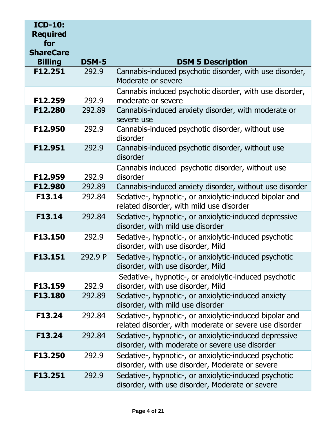| <b>ICD-10:</b><br><b>Required</b><br>for<br><b>ShareCare</b> |              |                                                                                                                   |
|--------------------------------------------------------------|--------------|-------------------------------------------------------------------------------------------------------------------|
| <b>Billing</b>                                               | <b>DSM-5</b> | <b>DSM 5 Description</b>                                                                                          |
| F12.251                                                      | 292.9        | Cannabis-induced psychotic disorder, with use disorder,<br>Moderate or severe                                     |
| F12.259                                                      | 292.9        | Cannabis induced psychotic disorder, with use disorder,<br>moderate or severe                                     |
| F12.280                                                      | 292.89       | Cannabis-induced anxiety disorder, with moderate or<br>severe use                                                 |
| F12.950                                                      | 292.9        | Cannabis-induced psychotic disorder, without use<br>disorder                                                      |
| F12.951                                                      | 292.9        | Cannabis-induced psychotic disorder, without use<br>disorder                                                      |
| F12.959                                                      | 292.9        | Cannabis induced psychotic disorder, without use<br>disorder                                                      |
| F12.980                                                      | 292.89       | Cannabis-induced anxiety disorder, without use disorder                                                           |
| F13.14                                                       | 292.84       | Sedative-, hypnotic-, or anxiolytic-induced bipolar and<br>related disorder, with mild use disorder               |
| F13.14                                                       | 292.84       | Sedative-, hypnotic-, or anxiolytic-induced depressive<br>disorder, with mild use disorder                        |
| F13.150                                                      | 292.9        | Sedative-, hypnotic-, or anxiolytic-induced psychotic<br>disorder, with use disorder, Mild                        |
| F13.151                                                      | 292.9 P      | Sedative-, hypnotic-, or anxiolytic-induced psychotic<br>disorder, with use disorder, Mild                        |
| F13.159                                                      | 292.9        | Sedative-, hypnotic-, or anxiolytic-induced psychotic<br>disorder, with use disorder, Mild                        |
| F13.180                                                      | 292.89       | Sedative-, hypnotic-, or anxiolytic-induced anxiety<br>disorder, with mild use disorder                           |
| F13.24                                                       | 292.84       | Sedative-, hypnotic-, or anxiolytic-induced bipolar and<br>related disorder, with moderate or severe use disorder |
| F13.24                                                       | 292.84       | Sedative-, hypnotic-, or anxiolytic-induced depressive<br>disorder, with moderate or severe use disorder          |
| F13.250                                                      | 292.9        | Sedative-, hypnotic-, or anxiolytic-induced psychotic<br>disorder, with use disorder, Moderate or severe          |
| F13.251                                                      | 292.9        | Sedative-, hypnotic-, or anxiolytic-induced psychotic<br>disorder, with use disorder, Moderate or severe          |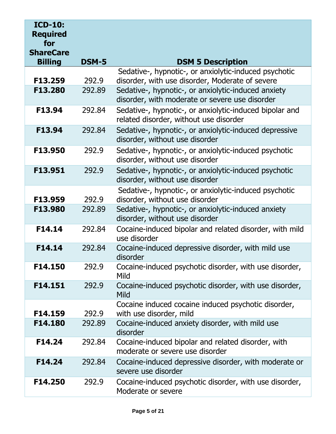| <b>ICD-10:</b><br><b>Required</b><br>for<br><b>ShareCare</b> |              |                                                                                                       |
|--------------------------------------------------------------|--------------|-------------------------------------------------------------------------------------------------------|
| <b>Billing</b>                                               | <b>DSM-5</b> | <b>DSM 5 Description</b>                                                                              |
|                                                              |              | Sedative-, hypnotic-, or anxiolytic-induced psychotic                                                 |
| F13.259                                                      | 292.9        | disorder, with use disorder, Moderate of severe                                                       |
| F13.280                                                      | 292.89       | Sedative-, hypnotic-, or anxiolytic-induced anxiety<br>disorder, with moderate or severe use disorder |
| F13.94                                                       | 292.84       | Sedative-, hypnotic-, or anxiolytic-induced bipolar and<br>related disorder, without use disorder     |
| F13.94                                                       | 292.84       | Sedative-, hypnotic-, or anxiolytic-induced depressive<br>disorder, without use disorder              |
| F13.950                                                      | 292.9        | Sedative-, hypnotic-, or anxiolytic-induced psychotic<br>disorder, without use disorder               |
| F13.951                                                      | 292.9        | Sedative-, hypnotic-, or anxiolytic-induced psychotic<br>disorder, without use disorder               |
| F13.959                                                      | 292.9        | Sedative-, hypnotic-, or anxiolytic-induced psychotic<br>disorder, without use disorder               |
| F13.980                                                      | 292.89       | Sedative-, hypnotic-, or anxiolytic-induced anxiety<br>disorder, without use disorder                 |
| F14.14                                                       | 292.84       | Cocaine-induced bipolar and related disorder, with mild<br>use disorder                               |
| F14.14                                                       | 292.84       | Cocaine-induced depressive disorder, with mild use<br>disorder                                        |
| F14.150                                                      | 292.9        | Cocaine-induced psychotic disorder, with use disorder,<br>Mild                                        |
| F14.151                                                      | 292.9        | Cocaine-induced psychotic disorder, with use disorder,<br>Mild                                        |
| F14.159                                                      | 292.9        | Cocaine induced cocaine induced psychotic disorder,<br>with use disorder, mild                        |
| F14.180                                                      | 292.89       | Cocaine-induced anxiety disorder, with mild use<br>disorder                                           |
| F14.24                                                       | 292.84       | Cocaine-induced bipolar and related disorder, with<br>moderate or severe use disorder                 |
| F14.24                                                       | 292.84       | Cocaine-induced depressive disorder, with moderate or<br>severe use disorder                          |
| F14.250                                                      | 292.9        | Cocaine-induced psychotic disorder, with use disorder,<br>Moderate or severe                          |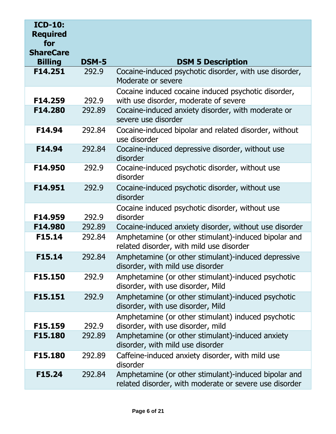| <b>ICD-10:</b><br><b>Required</b><br>for<br><b>ShareCare</b> |              |                                                                                                                |
|--------------------------------------------------------------|--------------|----------------------------------------------------------------------------------------------------------------|
| <b>Billing</b>                                               | <b>DSM-5</b> | <b>DSM 5 Description</b>                                                                                       |
| F14.251                                                      | 292.9        | Cocaine-induced psychotic disorder, with use disorder,<br>Moderate or severe                                   |
| F14.259                                                      | 292.9        | Cocaine induced cocaine induced psychotic disorder,<br>with use disorder, moderate of severe                   |
| F14.280                                                      | 292.89       | Cocaine-induced anxiety disorder, with moderate or<br>severe use disorder                                      |
| F14.94                                                       | 292.84       | Cocaine-induced bipolar and related disorder, without<br>use disorder                                          |
| F14.94                                                       | 292.84       | Cocaine-induced depressive disorder, without use<br>disorder                                                   |
| F14.950                                                      | 292.9        | Cocaine-induced psychotic disorder, without use<br>disorder                                                    |
| F14.951                                                      | 292.9        | Cocaine-induced psychotic disorder, without use<br>disorder                                                    |
| F14.959                                                      | 292.9        | Cocaine induced psychotic disorder, without use<br>disorder                                                    |
| F14.980                                                      | 292.89       | Cocaine-induced anxiety disorder, without use disorder                                                         |
| F15.14                                                       | 292.84       | Amphetamine (or other stimulant)-induced bipolar and<br>related disorder, with mild use disorder               |
| F15.14                                                       | 292.84       | Amphetamine (or other stimulant)-induced depressive<br>disorder, with mild use disorder                        |
| F15.150                                                      | 292.9        | Amphetamine (or other stimulant)-induced psychotic<br>disorder, with use disorder, Mild                        |
| F15.151                                                      | 292.9        | Amphetamine (or other stimulant)-induced psychotic<br>disorder, with use disorder, Mild                        |
| F15.159                                                      | 292.9        | Amphetamine (or other stimulant) induced psychotic<br>disorder, with use disorder, mild                        |
| F15.180                                                      | 292.89       | Amphetamine (or other stimulant)-induced anxiety<br>disorder, with mild use disorder                           |
| F15.180                                                      | 292.89       | Caffeine-induced anxiety disorder, with mild use<br>disorder                                                   |
| F15.24                                                       | 292.84       | Amphetamine (or other stimulant)-induced bipolar and<br>related disorder, with moderate or severe use disorder |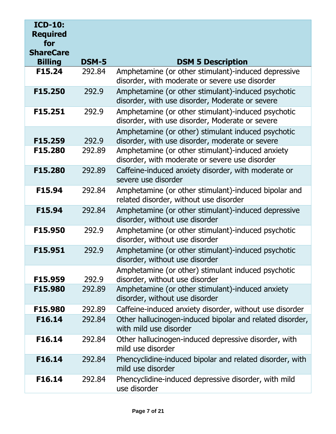| <b>ICD-10:</b><br><b>Required</b><br>for<br><b>ShareCare</b> |              |                                                                                                       |
|--------------------------------------------------------------|--------------|-------------------------------------------------------------------------------------------------------|
| <b>Billing</b>                                               | <b>DSM-5</b> | <b>DSM 5 Description</b>                                                                              |
| F15.24                                                       | 292.84       | Amphetamine (or other stimulant)-induced depressive<br>disorder, with moderate or severe use disorder |
| F15.250                                                      | 292.9        | Amphetamine (or other stimulant)-induced psychotic<br>disorder, with use disorder, Moderate or severe |
| F15.251                                                      | 292.9        | Amphetamine (or other stimulant)-induced psychotic<br>disorder, with use disorder, Moderate or severe |
| F15.259                                                      | 292.9        | Amphetamine (or other) stimulant induced psychotic<br>disorder, with use disorder, moderate or severe |
| F15.280                                                      | 292.89       | Amphetamine (or other stimulant)-induced anxiety<br>disorder, with moderate or severe use disorder    |
| F15.280                                                      | 292.89       | Caffeine-induced anxiety disorder, with moderate or<br>severe use disorder                            |
| F15.94                                                       | 292.84       | Amphetamine (or other stimulant)-induced bipolar and<br>related disorder, without use disorder        |
| F15.94                                                       | 292.84       | Amphetamine (or other stimulant)-induced depressive<br>disorder, without use disorder                 |
| F15.950                                                      | 292.9        | Amphetamine (or other stimulant)-induced psychotic<br>disorder, without use disorder                  |
| F15.951                                                      | 292.9        | Amphetamine (or other stimulant)-induced psychotic<br>disorder, without use disorder                  |
| F15.959                                                      | 292.9        | Amphetamine (or other) stimulant induced psychotic<br>disorder, without use disorder                  |
| F15.980                                                      | 292.89       | Amphetamine (or other stimulant)-induced anxiety<br>disorder, without use disorder                    |
| F15.980                                                      | 292.89       | Caffeine-induced anxiety disorder, without use disorder                                               |
| F16.14                                                       | 292.84       | Other hallucinogen-induced bipolar and related disorder,<br>with mild use disorder                    |
| F16.14                                                       | 292.84       | Other hallucinogen-induced depressive disorder, with<br>mild use disorder                             |
| F16.14                                                       | 292.84       | Phencyclidine-induced bipolar and related disorder, with<br>mild use disorder                         |
| F16.14                                                       | 292.84       | Phencyclidine-induced depressive disorder, with mild<br>use disorder                                  |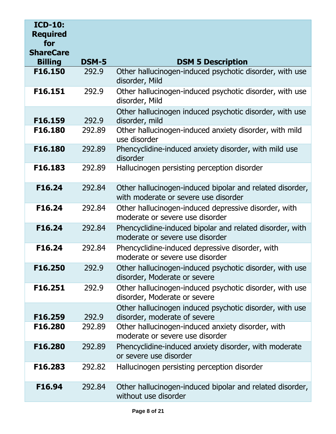| <b>ICD-10:</b><br><b>Required</b><br>for<br><b>ShareCare</b> |              |                                                                                                  |
|--------------------------------------------------------------|--------------|--------------------------------------------------------------------------------------------------|
| <b>Billing</b>                                               | <b>DSM-5</b> | <b>DSM 5 Description</b>                                                                         |
| F16.150                                                      | 292.9        | Other hallucinogen-induced psychotic disorder, with use<br>disorder, Mild                        |
| F16.151                                                      | 292.9        | Other hallucinogen-induced psychotic disorder, with use<br>disorder, Mild                        |
|                                                              |              | Other hallucinogen induced psychotic disorder, with use                                          |
| F16.159                                                      | 292.9        | disorder, mild                                                                                   |
| F16.180                                                      | 292.89       | Other hallucinogen-induced anxiety disorder, with mild<br>use disorder                           |
| F16.180                                                      | 292.89       | Phencyclidine-induced anxiety disorder, with mild use<br>disorder                                |
| F16.183                                                      | 292.89       | Hallucinogen persisting perception disorder                                                      |
| F16.24                                                       | 292.84       | Other hallucinogen-induced bipolar and related disorder,<br>with moderate or severe use disorder |
| F16.24                                                       | 292.84       | Other hallucinogen-induced depressive disorder, with<br>moderate or severe use disorder          |
| F16.24                                                       | 292.84       | Phencyclidine-induced bipolar and related disorder, with<br>moderate or severe use disorder      |
| F16.24                                                       | 292.84       | Phencyclidine-induced depressive disorder, with<br>moderate or severe use disorder               |
| F16.250                                                      | 292.9        | Other hallucinogen-induced psychotic disorder, with use<br>disorder, Moderate or severe          |
| F16.251                                                      | 292.9        | Other hallucinogen-induced psychotic disorder, with use<br>disorder, Moderate or severe          |
|                                                              |              | Other hallucinogen induced psychotic disorder, with use                                          |
| F16.259                                                      | 292.9        | disorder, moderate of severe                                                                     |
| F16.280                                                      | 292.89       | Other hallucinogen-induced anxiety disorder, with<br>moderate or severe use disorder             |
| F16.280                                                      | 292.89       | Phencyclidine-induced anxiety disorder, with moderate<br>or severe use disorder                  |
| F16.283                                                      | 292.82       | Hallucinogen persisting perception disorder                                                      |
| F16.94                                                       | 292.84       | Other hallucinogen-induced bipolar and related disorder,<br>without use disorder                 |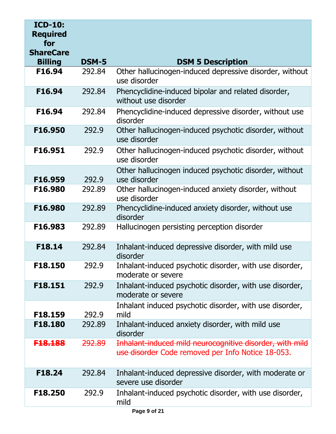| <b>ICD-10:</b><br><b>Required</b><br>for<br><b>ShareCare</b> |                   |                                                                                                               |
|--------------------------------------------------------------|-------------------|---------------------------------------------------------------------------------------------------------------|
| <b>Billing</b>                                               | <b>DSM-5</b>      | <b>DSM 5 Description</b>                                                                                      |
| F16.94                                                       | 292.84            | Other hallucinogen-induced depressive disorder, without<br>use disorder                                       |
| F16.94                                                       | 292.84            | Phencyclidine-induced bipolar and related disorder,<br>without use disorder                                   |
| F16.94                                                       | 292.84            | Phencyclidine-induced depressive disorder, without use<br>disorder                                            |
| F16.950                                                      | 292.9             | Other hallucinogen-induced psychotic disorder, without<br>use disorder                                        |
| F16.951                                                      | 292.9             | Other hallucinogen-induced psychotic disorder, without<br>use disorder                                        |
| F16.959                                                      | 292.9             | Other hallucinogen induced psychotic disorder, without<br>use disorder                                        |
| F16.980                                                      | 292.89            | Other hallucinogen-induced anxiety disorder, without<br>use disorder                                          |
| F16.980                                                      | 292.89            | Phencyclidine-induced anxiety disorder, without use<br>disorder                                               |
| F16.983                                                      | 292.89            | Hallucinogen persisting perception disorder                                                                   |
| F18.14                                                       | 292.84            | Inhalant-induced depressive disorder, with mild use<br>disorder                                               |
| F18.150                                                      | 292.9             | Inhalant-induced psychotic disorder, with use disorder,<br>moderate or severe                                 |
| F18.151                                                      | 292.9             | Inhalant-induced psychotic disorder, with use disorder,<br>moderate or severe                                 |
| F18.159                                                      | 292.9             | Inhalant induced psychotic disorder, with use disorder,<br>mild                                               |
| F18.180                                                      | 292.89            | Inhalant-induced anxiety disorder, with mild use<br>disorder                                                  |
| <del>F18.188</del>                                           | <del>292.89</del> | Inhalant-induced mild neurocognitive disorder, with mild<br>use disorder Code removed per Info Notice 18-053. |
| F18.24                                                       | 292.84            | Inhalant-induced depressive disorder, with moderate or<br>severe use disorder                                 |
| F18.250                                                      | 292.9             | Inhalant-induced psychotic disorder, with use disorder,<br>mild                                               |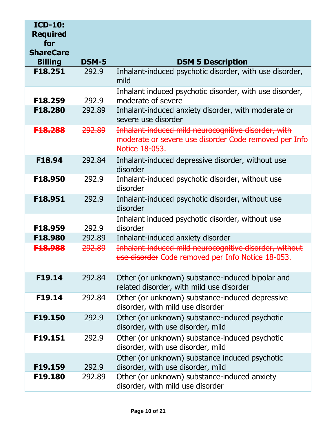| <b>ICD-10:</b><br><b>Required</b><br>for<br><b>ShareCare</b> |                   |                                                                                                                                |
|--------------------------------------------------------------|-------------------|--------------------------------------------------------------------------------------------------------------------------------|
| <b>Billing</b>                                               | <b>DSM-5</b>      | <b>DSM 5 Description</b>                                                                                                       |
| F18.251                                                      | 292.9             | Inhalant-induced psychotic disorder, with use disorder,<br>mild                                                                |
| F18.259                                                      | 292.9             | Inhalant induced psychotic disorder, with use disorder,<br>moderate of severe                                                  |
| F18.280                                                      | 292.89            | Inhalant-induced anxiety disorder, with moderate or<br>severe use disorder                                                     |
| F18.288                                                      | 292.89            | Inhalant-induced mild neurocognitive disorder, with<br>moderate or severe use disorder Code removed per Info<br>Notice 18-053. |
| F18.94                                                       | 292.84            | Inhalant-induced depressive disorder, without use<br>disorder                                                                  |
| F18.950                                                      | 292.9             | Inhalant-induced psychotic disorder, without use<br>disorder                                                                   |
| F18.951                                                      | 292.9             | Inhalant-induced psychotic disorder, without use<br>disorder                                                                   |
| F18.959                                                      | 292.9             | Inhalant induced psychotic disorder, without use<br>disorder                                                                   |
| F18,980                                                      | 292.89            | Inhalant-induced anxiety disorder                                                                                              |
| <del>F18.988</del>                                           | <del>292.89</del> | Inhalant-induced mild neurocognitive disorder, without<br>use disorder Code removed per Info Notice 18-053.                    |
| F19.14                                                       | 292.84            | Other (or unknown) substance-induced bipolar and<br>related disorder, with mild use disorder                                   |
| F19.14                                                       | 292.84            | Other (or unknown) substance-induced depressive<br>disorder, with mild use disorder                                            |
| F19.150                                                      | 292.9             | Other (or unknown) substance-induced psychotic<br>disorder, with use disorder, mild                                            |
| F19.151                                                      | 292.9             | Other (or unknown) substance-induced psychotic<br>disorder, with use disorder, mild                                            |
|                                                              |                   | Other (or unknown) substance induced psychotic                                                                                 |
| F19.159<br>F19.180                                           | 292.9<br>292.89   | disorder, with use disorder, mild                                                                                              |
|                                                              |                   | Other (or unknown) substance-induced anxiety<br>disorder, with mild use disorder                                               |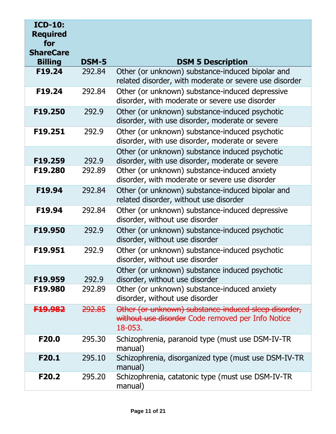| <b>ICD-10:</b><br><b>Required</b><br>for<br><b>ShareCare</b> |              |                                                                                                                      |
|--------------------------------------------------------------|--------------|----------------------------------------------------------------------------------------------------------------------|
| <b>Billing</b>                                               | <b>DSM-5</b> | <b>DSM 5 Description</b>                                                                                             |
| F19.24                                                       | 292,84       | Other (or unknown) substance-induced bipolar and<br>related disorder, with moderate or severe use disorder           |
| F19.24                                                       | 292.84       | Other (or unknown) substance-induced depressive<br>disorder, with moderate or severe use disorder                    |
| F19.250                                                      | 292.9        | Other (or unknown) substance-induced psychotic<br>disorder, with use disorder, moderate or severe                    |
| F19.251                                                      | 292.9        | Other (or unknown) substance-induced psychotic<br>disorder, with use disorder, moderate or severe                    |
| F19.259                                                      | 292.9        | Other (or unknown) substance induced psychotic<br>disorder, with use disorder, moderate or severe                    |
| F19.280                                                      | 292.89       | Other (or unknown) substance-induced anxiety<br>disorder, with moderate or severe use disorder                       |
| F19.94                                                       | 292.84       | Other (or unknown) substance-induced bipolar and<br>related disorder, without use disorder                           |
| F19.94                                                       | 292.84       | Other (or unknown) substance-induced depressive<br>disorder, without use disorder                                    |
| F19.950                                                      | 292.9        | Other (or unknown) substance-induced psychotic<br>disorder, without use disorder                                     |
| F19.951                                                      | 292.9        | Other (or unknown) substance-induced psychotic<br>disorder, without use disorder                                     |
| F19.959                                                      | 292.9        | Other (or unknown) substance induced psychotic<br>disorder, without use disorder                                     |
| F19.980                                                      | 292.89       | Other (or unknown) substance-induced anxiety<br>disorder, without use disorder                                       |
| <del>19.982</del>                                            | 292.85       | Other (or unknown) substance induced sleep disorder,<br>without use disorder Code removed per Info Notice<br>18-053. |
| F <sub>20.0</sub>                                            | 295.30       | Schizophrenia, paranoid type (must use DSM-IV-TR<br>manual)                                                          |
| F20.1                                                        | 295.10       | Schizophrenia, disorganized type (must use DSM-IV-TR<br>manual)                                                      |
| F <sub>20.2</sub>                                            | 295.20       | Schizophrenia, catatonic type (must use DSM-IV-TR<br>manual)                                                         |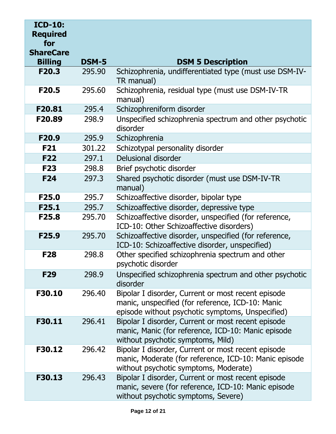| <b>ICD-10:</b><br><b>Required</b><br>for<br><b>ShareCare</b> |              |                                                                                                                                                            |
|--------------------------------------------------------------|--------------|------------------------------------------------------------------------------------------------------------------------------------------------------------|
| <b>Billing</b>                                               | <b>DSM-5</b> | <b>DSM 5 Description</b>                                                                                                                                   |
| F20.3                                                        | 295.90       | Schizophrenia, undifferentiated type (must use DSM-IV-<br>TR manual)                                                                                       |
| F20.5                                                        | 295.60       | Schizophrenia, residual type (must use DSM-IV-TR<br>manual)                                                                                                |
| F20.81                                                       | 295.4        | Schizophreniform disorder                                                                                                                                  |
| F20.89                                                       | 298.9        | Unspecified schizophrenia spectrum and other psychotic<br>disorder                                                                                         |
| F <sub>20.9</sub>                                            | 295.9        | Schizophrenia                                                                                                                                              |
| <b>F21</b>                                                   | 301.22       | Schizotypal personality disorder                                                                                                                           |
| <b>F22</b>                                                   | 297.1        | Delusional disorder                                                                                                                                        |
| <b>F23</b>                                                   | 298.8        | Brief psychotic disorder                                                                                                                                   |
| <b>F24</b>                                                   | 297.3        | Shared psychotic disorder (must use DSM-IV-TR<br>manual)                                                                                                   |
| F <sub>25.0</sub>                                            | 295.7        | Schizoaffective disorder, bipolar type                                                                                                                     |
| F25.1                                                        | 295.7        | Schizoaffective disorder, depressive type                                                                                                                  |
| F25.8                                                        | 295.70       | Schizoaffective disorder, unspecified (for reference,<br>ICD-10: Other Schizoaffective disorders)                                                          |
| F <sub>25.9</sub>                                            | 295.70       | Schizoaffective disorder, unspecified (for reference,<br>ICD-10: Schizoaffective disorder, unspecified)                                                    |
| <b>F28</b>                                                   | 298.8        | Other specified schizophrenia spectrum and other<br>psychotic disorder                                                                                     |
| F <sub>29</sub>                                              | 298.9        | Unspecified schizophrenia spectrum and other psychotic<br>disorder                                                                                         |
| F30.10                                                       | 296.40       | Bipolar I disorder, Current or most recent episode<br>manic, unspecified (for reference, ICD-10: Manic<br>episode without psychotic symptoms, Unspecified) |
| F30.11                                                       | 296.41       | Bipolar I disorder, Current or most recent episode<br>manic, Manic (for reference, ICD-10: Manic episode<br>without psychotic symptoms, Mild)              |
| F30.12                                                       | 296.42       | Bipolar I disorder, Current or most recent episode<br>manic, Moderate (for reference, ICD-10: Manic episode<br>without psychotic symptoms, Moderate)       |
| F30.13                                                       | 296.43       | Bipolar I disorder, Current or most recent episode<br>manic, severe (for reference, ICD-10: Manic episode<br>without psychotic symptoms, Severe)           |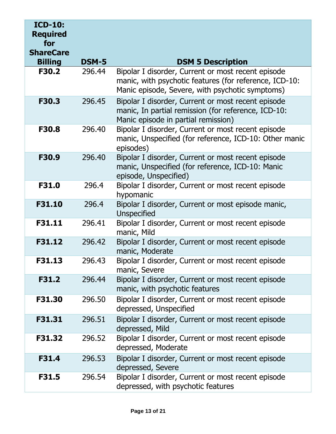| <b>ICD-10:</b><br><b>Required</b><br>for |        |                                                                                                                                                                 |
|------------------------------------------|--------|-----------------------------------------------------------------------------------------------------------------------------------------------------------------|
| <b>ShareCare</b><br><b>Billing</b>       | DSM-5  | <b>DSM 5 Description</b>                                                                                                                                        |
| F30.2                                    | 296.44 | Bipolar I disorder, Current or most recent episode<br>manic, with psychotic features (for reference, ICD-10:<br>Manic episode, Severe, with psychotic symptoms) |
| F30.3                                    | 296.45 | Bipolar I disorder, Current or most recent episode<br>manic, In partial remission (for reference, ICD-10:<br>Manic episode in partial remission)                |
| F30.8                                    | 296.40 | Bipolar I disorder, Current or most recent episode<br>manic, Unspecified (for reference, ICD-10: Other manic<br>episodes)                                       |
| F30.9                                    | 296.40 | Bipolar I disorder, Current or most recent episode<br>manic, Unspecified (for reference, ICD-10: Manic<br>episode, Unspecified)                                 |
| F31.0                                    | 296.4  | Bipolar I disorder, Current or most recent episode<br>hypomanic                                                                                                 |
| F31.10                                   | 296.4  | Bipolar I disorder, Current or most episode manic,<br><b>Unspecified</b>                                                                                        |
| F31.11                                   | 296.41 | Bipolar I disorder, Current or most recent episode<br>manic, Mild                                                                                               |
| F31.12                                   | 296.42 | Bipolar I disorder, Current or most recent episode<br>manic, Moderate                                                                                           |
| F31.13                                   | 296.43 | Bipolar I disorder, Current or most recent episode<br>manic, Severe                                                                                             |
| F31.2                                    | 296.44 | Bipolar I disorder, Current or most recent episode<br>manic, with psychotic features                                                                            |
| F31.30                                   | 296.50 | Bipolar I disorder, Current or most recent episode<br>depressed, Unspecified                                                                                    |
| F31.31                                   | 296.51 | Bipolar I disorder, Current or most recent episode<br>depressed, Mild                                                                                           |
| F31.32                                   | 296.52 | Bipolar I disorder, Current or most recent episode<br>depressed, Moderate                                                                                       |
| <b>F31.4</b>                             | 296.53 | Bipolar I disorder, Current or most recent episode<br>depressed, Severe                                                                                         |
| F31.5                                    | 296.54 | Bipolar I disorder, Current or most recent episode<br>depressed, with psychotic features                                                                        |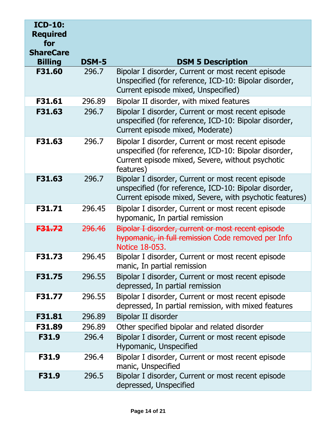| <b>ICD-10:</b><br><b>Required</b><br>for<br><b>ShareCare</b> |                   |                                                                                                                                                                              |
|--------------------------------------------------------------|-------------------|------------------------------------------------------------------------------------------------------------------------------------------------------------------------------|
| <b>Billing</b>                                               | <b>DSM-5</b>      | <b>DSM 5 Description</b>                                                                                                                                                     |
| F31.60                                                       | 296.7             | Bipolar I disorder, Current or most recent episode<br>Unspecified (for reference, ICD-10: Bipolar disorder,<br>Current episode mixed, Unspecified)                           |
| F31.61                                                       | 296.89            | Bipolar II disorder, with mixed features                                                                                                                                     |
| F31.63                                                       | 296.7             | Bipolar I disorder, Current or most recent episode<br>unspecified (for reference, ICD-10: Bipolar disorder,<br>Current episode mixed, Moderate)                              |
| F31.63                                                       | 296.7             | Bipolar I disorder, Current or most recent episode<br>unspecified (for reference, ICD-10: Bipolar disorder,<br>Current episode mixed, Severe, without psychotic<br>features) |
| F31.63                                                       | 296.7             | Bipolar I disorder, Current or most recent episode<br>unspecified (for reference, ICD-10: Bipolar disorder,<br>Current episode mixed, Severe, with psychotic features)       |
| F31.71                                                       | 296.45            | Bipolar I disorder, Current or most recent episode<br>hypomanic, In partial remission                                                                                        |
| F31.72                                                       | <del>296.46</del> | Bipolar I disorder, current or most recent episode<br>hypomanic, in full remission Code removed per Info<br>Notice 18-053.                                                   |
| F31.73                                                       | 296.45            | Bipolar I disorder, Current or most recent episode<br>manic, In partial remission                                                                                            |
| F31.75                                                       | 296.55            | Bipolar I disorder, Current or most recent episode<br>depressed, In partial remission                                                                                        |
| F31.77                                                       | 296.55            | Bipolar I disorder, Current or most recent episode<br>depressed, In partial remission, with mixed features                                                                   |
| F31.81                                                       | 296.89            | Bipolar II disorder                                                                                                                                                          |
| F31.89                                                       | 296.89            | Other specified bipolar and related disorder                                                                                                                                 |
| F31.9                                                        | 296.4             | Bipolar I disorder, Current or most recent episode<br>Hypomanic, Unspecified                                                                                                 |
| F31.9                                                        | 296.4             | Bipolar I disorder, Current or most recent episode<br>manic, Unspecified                                                                                                     |
| F31.9                                                        | 296.5             | Bipolar I disorder, Current or most recent episode<br>depressed, Unspecified                                                                                                 |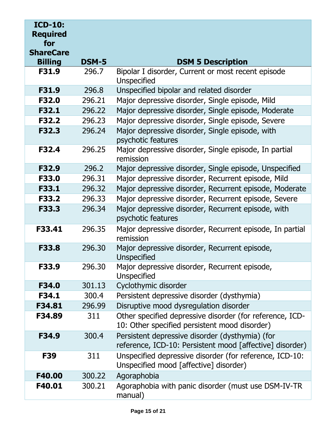| <b>ICD-10:</b><br><b>Required</b><br>for<br><b>ShareCare</b> |              |                                                                                                             |
|--------------------------------------------------------------|--------------|-------------------------------------------------------------------------------------------------------------|
| <b>Billing</b>                                               | <b>DSM-5</b> | <b>DSM 5 Description</b>                                                                                    |
| F31.9                                                        | 296.7        | Bipolar I disorder, Current or most recent episode<br>Unspecified                                           |
| F31.9                                                        | 296.8        | Unspecified bipolar and related disorder                                                                    |
| F32.0                                                        | 296.21       | Major depressive disorder, Single episode, Mild                                                             |
| F32.1                                                        | 296.22       | Major depressive disorder, Single episode, Moderate                                                         |
| F32.2                                                        | 296.23       | Major depressive disorder, Single episode, Severe                                                           |
| F32.3                                                        | 296.24       | Major depressive disorder, Single episode, with<br>psychotic features                                       |
| F32.4                                                        | 296.25       | Major depressive disorder, Single episode, In partial<br>remission                                          |
| F32.9                                                        | 296.2        | Major depressive disorder, Single episode, Unspecified                                                      |
| F33.0                                                        | 296.31       | Major depressive disorder, Recurrent episode, Mild                                                          |
| F33.1                                                        | 296.32       | Major depressive disorder, Recurrent episode, Moderate                                                      |
| <b>F33.2</b>                                                 | 296.33       | Major depressive disorder, Recurrent episode, Severe                                                        |
| F33.3                                                        | 296.34       | Major depressive disorder, Recurrent episode, with<br>psychotic features                                    |
| F33.41                                                       | 296.35       | Major depressive disorder, Recurrent episode, In partial<br>remission                                       |
| F33.8                                                        | 296.30       | Major depressive disorder, Recurrent episode,<br><b>Unspecified</b>                                         |
| F33.9                                                        | 296.30       | Major depressive disorder, Recurrent episode,<br>Unspecified                                                |
| F34.0                                                        | 301.13       | Cyclothymic disorder                                                                                        |
| F34.1                                                        | 300.4        | Persistent depressive disorder (dysthymia)                                                                  |
| F34.81                                                       | 296.99       | Disruptive mood dysregulation disorder                                                                      |
| F34.89                                                       | 311          | Other specified depressive disorder (for reference, ICD-<br>10: Other specified persistent mood disorder)   |
| F34.9                                                        | 300.4        | Persistent depressive disorder (dysthymia) (for<br>reference, ICD-10: Persistent mood [affective] disorder) |
| <b>F39</b>                                                   | 311          | Unspecified depressive disorder (for reference, ICD-10:<br>Unspecified mood [affective] disorder)           |
| F40.00                                                       | 300.22       | Agoraphobia                                                                                                 |
| F40.01                                                       | 300.21       | Agoraphobia with panic disorder (must use DSM-IV-TR)<br>manual)                                             |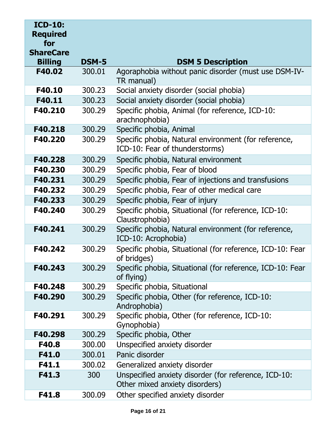| <b>ICD-10:</b><br><b>Required</b><br>for<br><b>ShareCare</b> |              |                                                                                        |
|--------------------------------------------------------------|--------------|----------------------------------------------------------------------------------------|
| <b>Billing</b>                                               | <b>DSM-5</b> | <b>DSM 5 Description</b>                                                               |
| F40.02                                                       | 300.01       | Agoraphobia without panic disorder (must use DSM-IV-<br>TR manual)                     |
| F40.10                                                       | 300.23       | Social anxiety disorder (social phobia)                                                |
| F40.11                                                       | 300.23       | Social anxiety disorder (social phobia)                                                |
| F40.210                                                      | 300.29       | Specific phobia, Animal (for reference, ICD-10:<br>arachnophobia)                      |
| F40.218                                                      | 300.29       | Specific phobia, Animal                                                                |
| F40.220                                                      | 300.29       | Specific phobia, Natural environment (for reference,<br>ICD-10: Fear of thunderstorms) |
| F40.228                                                      | 300.29       | Specific phobia, Natural environment                                                   |
| F40.230                                                      | 300.29       | Specific phobia, Fear of blood                                                         |
| F40.231                                                      | 300.29       | Specific phobia, Fear of injections and transfusions                                   |
| F40.232                                                      | 300.29       | Specific phobia, Fear of other medical care                                            |
| F40.233                                                      | 300.29       | Specific phobia, Fear of injury                                                        |
| F40.240                                                      | 300.29       | Specific phobia, Situational (for reference, ICD-10:<br>Claustrophobia)                |
| F40.241                                                      | 300.29       | Specific phobia, Natural environment (for reference,<br>ICD-10: Acrophobia)            |
| F40.242                                                      | 300.29       | Specific phobia, Situational (for reference, ICD-10: Fear<br>of bridges)               |
| F40.243                                                      | 300.29       | Specific phobia, Situational (for reference, ICD-10: Fear<br>of flying)                |
| F40.248                                                      | 300.29       | Specific phobia, Situational                                                           |
| F40.290                                                      | 300.29       | Specific phobia, Other (for reference, ICD-10:<br>Androphobia)                         |
| F40.291                                                      | 300.29       | Specific phobia, Other (for reference, ICD-10:<br>Gynophobia)                          |
| F40.298                                                      | 300.29       | Specific phobia, Other                                                                 |
| F40.8                                                        | 300.00       | Unspecified anxiety disorder                                                           |
| F41.0                                                        | 300.01       | Panic disorder                                                                         |
| F41.1                                                        | 300.02       | Generalized anxiety disorder                                                           |
| F41.3                                                        | 300          | Unspecified anxiety disorder (for reference, ICD-10:<br>Other mixed anxiety disorders) |
| F41.8                                                        | 300.09       | Other specified anxiety disorder                                                       |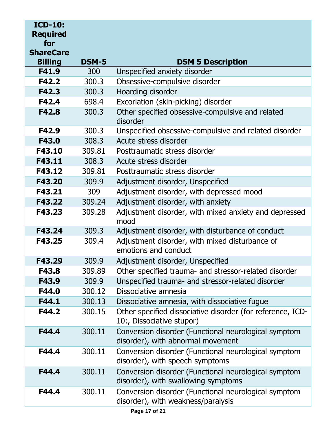| <b>ICD-10:</b><br><b>Required</b><br>for<br><b>ShareCare</b> |              |                                                                                             |
|--------------------------------------------------------------|--------------|---------------------------------------------------------------------------------------------|
| <b>Billing</b>                                               | <b>DSM-5</b> | <b>DSM 5 Description</b>                                                                    |
| F41.9                                                        | 300          | Unspecified anxiety disorder                                                                |
| F42.2                                                        | 300.3        | Obsessive-compulsive disorder                                                               |
| F42.3                                                        | 300.3        | Hoarding disorder                                                                           |
| F42.4                                                        | 698.4        | Excoriation (skin-picking) disorder                                                         |
| F42.8                                                        | 300.3        | Other specified obsessive-compulsive and related<br>disorder                                |
| F42.9                                                        | 300.3        | Unspecified obsessive-compulsive and related disorder                                       |
| F43.0                                                        | 308.3        | Acute stress disorder                                                                       |
| F43.10                                                       | 309.81       | Posttraumatic stress disorder                                                               |
| F43.11                                                       | 308.3        | Acute stress disorder                                                                       |
| F43.12                                                       | 309.81       | Posttraumatic stress disorder                                                               |
| F43.20                                                       | 309.9        | Adjustment disorder, Unspecified                                                            |
| F43.21                                                       | 309          | Adjustment disorder, with depressed mood                                                    |
| F43.22                                                       | 309.24       | Adjustment disorder, with anxiety                                                           |
| F43.23                                                       | 309.28       | Adjustment disorder, with mixed anxiety and depressed<br>mood                               |
| F43.24                                                       | 309.3        | Adjustment disorder, with disturbance of conduct                                            |
| F43.25                                                       | 309.4        | Adjustment disorder, with mixed disturbance of<br>emotions and conduct                      |
| F43.29                                                       | 309.9        | Adjustment disorder, Unspecified                                                            |
| F43.8                                                        | 309.89       | Other specified trauma- and stressor-related disorder                                       |
| F43.9                                                        | 309.9        | Unspecified trauma- and stressor-related disorder                                           |
| F44.0                                                        | 300.12       | Dissociative amnesia                                                                        |
| F44.1                                                        | 300.13       | Dissociative amnesia, with dissociative fugue                                               |
| F44.2                                                        | 300.15       | Other specified dissociative disorder (for reference, ICD-<br>10:, Dissociative stupor)     |
| F44.4                                                        | 300.11       | Conversion disorder (Functional neurological symptom<br>disorder), with abnormal movement   |
| F44.4                                                        | 300.11       | Conversion disorder (Functional neurological symptom<br>disorder), with speech symptoms     |
| F44.4                                                        | 300.11       | Conversion disorder (Functional neurological symptom<br>disorder), with swallowing symptoms |
| F44.4                                                        | 300.11       | Conversion disorder (Functional neurological symptom<br>disorder), with weakness/paralysis  |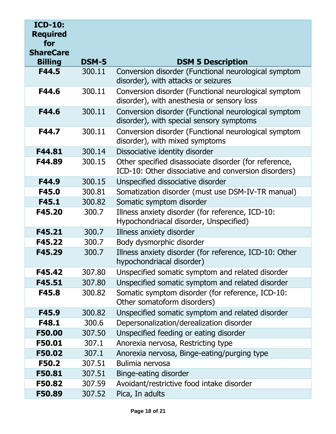| <b>ICD-10:</b><br><b>Required</b><br>for |              |                                                                                                               |
|------------------------------------------|--------------|---------------------------------------------------------------------------------------------------------------|
| <b>ShareCare</b>                         |              |                                                                                                               |
| <b>Billing</b>                           | <b>DSM-5</b> | <b>DSM 5 Description</b>                                                                                      |
| F44.5                                    | 300.11       | Conversion disorder (Functional neurological symptom<br>disorder), with attacks or seizures                   |
| F44.6                                    | 300.11       | Conversion disorder (Functional neurological symptom<br>disorder), with anesthesia or sensory loss            |
| F44.6                                    | 300.11       | Conversion disorder (Functional neurological symptom<br>disorder), with special sensory symptoms              |
| F44.7                                    | 300.11       | Conversion disorder (Functional neurological symptom<br>disorder), with mixed symptoms                        |
| F44.81                                   | 300.14       | Dissociative identity disorder                                                                                |
| F44.89                                   | 300.15       | Other specified disassociate disorder (for reference,<br>ICD-10: Other dissociative and conversion disorders) |
| F44.9                                    | 300.15       | Unspecified dissociative disorder                                                                             |
| F45.0                                    | 300.81       | Somatization disorder (must use DSM-IV-TR manual)                                                             |
| F45.1                                    | 300.82       | Somatic symptom disorder                                                                                      |
| F45.20                                   | 300.7        | Illness anxiety disorder (for reference, ICD-10:<br>Hypochondriacal disorder, Unspecified)                    |
| F45.21                                   | 300.7        | Illness anxiety disorder                                                                                      |
| F45.22                                   | 300.7        | Body dysmorphic disorder                                                                                      |
| F45.29                                   | 300.7        | Illness anxiety disorder (for reference, ICD-10: Other<br>hypochondriacal disorder)                           |
| F45.42                                   | 307.80       | Unspecified somatic symptom and related disorder                                                              |
| F45.51                                   | 307.80       | Unspecified somatic symptom and related disorder                                                              |
| F45.8                                    | 300.82       | Somatic symptom disorder (for reference, ICD-10:<br>Other somatoform disorders)                               |
| F45.9                                    | 300.82       | Unspecified somatic symptom and related disorder                                                              |
| F48.1                                    | 300.6        | Depersonalization/derealization disorder                                                                      |
| F50.00                                   | 307.50       | Unspecified feeding or eating disorder                                                                        |
| F50.01                                   | 307.1        | Anorexia nervosa, Restricting type                                                                            |
| F50.02                                   | 307.1        | Anorexia nervosa, Binge-eating/purging type                                                                   |
| <b>F50.2</b>                             | 307.51       | Bulimia nervosa                                                                                               |
| F50.81                                   | 307.51       | Binge-eating disorder                                                                                         |
| F50.82                                   | 307.59       | Avoidant/restrictive food intake disorder                                                                     |
| F50.89                                   | 307.52       | Pica, In adults                                                                                               |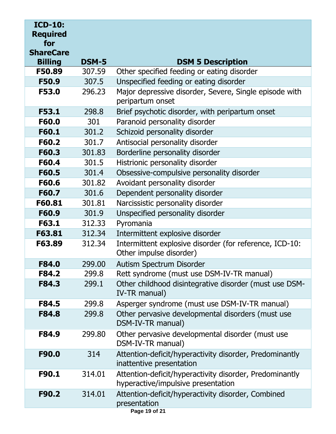| <b>ICD-10:</b><br><b>Required</b><br>for<br><b>ShareCare</b> |              |                                                                                               |
|--------------------------------------------------------------|--------------|-----------------------------------------------------------------------------------------------|
| <b>Billing</b>                                               | <b>DSM-5</b> | <b>DSM 5 Description</b>                                                                      |
| F50.89                                                       | 307.59       | Other specified feeding or eating disorder                                                    |
| F50.9                                                        | 307.5        | Unspecified feeding or eating disorder                                                        |
| F53.0                                                        | 296.23       | Major depressive disorder, Severe, Single episode with<br>peripartum onset                    |
| <b>F53.1</b>                                                 | 298.8        | Brief psychotic disorder, with peripartum onset                                               |
| F60.0                                                        | 301          | Paranoid personality disorder                                                                 |
| F60.1                                                        | 301.2        | Schizoid personality disorder                                                                 |
| F60.2                                                        | 301.7        | Antisocial personality disorder                                                               |
| F60.3                                                        | 301.83       | Borderline personality disorder                                                               |
| F60.4                                                        | 301.5        | Histrionic personality disorder                                                               |
| F60.5                                                        | 301.4        | Obsessive-compulsive personality disorder                                                     |
| F60.6                                                        | 301.82       | Avoidant personality disorder                                                                 |
| F60.7                                                        | 301.6        | Dependent personality disorder                                                                |
| F60.81                                                       | 301.81       | Narcissistic personality disorder                                                             |
| F60.9                                                        | 301.9        | Unspecified personality disorder                                                              |
| F63.1                                                        | 312.33       | Pyromania                                                                                     |
| F63.81                                                       | 312.34       | Intermittent explosive disorder                                                               |
| F63.89                                                       | 312.34       | Intermittent explosive disorder (for reference, ICD-10:<br>Other impulse disorder)            |
| F84.0                                                        | 299.00       | Autism Spectrum Disorder                                                                      |
| F84.2                                                        | 299.8        | Rett syndrome (must use DSM-IV-TR manual)                                                     |
| F84.3                                                        | 299.1        | Other childhood disintegrative disorder (must use DSM-<br>IV-TR manual)                       |
| F84.5                                                        | 299.8        | Asperger syndrome (must use DSM-IV-TR manual)                                                 |
| F84.8                                                        | 299.8        | Other pervasive developmental disorders (must use<br>DSM-IV-TR manual)                        |
| F84.9                                                        | 299.80       | Other pervasive developmental disorder (must use<br>DSM-IV-TR manual)                         |
| F90.0                                                        | 314          | Attention-deficit/hyperactivity disorder, Predominantly<br>inattentive presentation           |
| F90.1                                                        | 314.01       | Attention-deficit/hyperactivity disorder, Predominantly<br>hyperactive/impulsive presentation |
| F90.2                                                        | 314.01       | Attention-deficit/hyperactivity disorder, Combined<br>presentation<br>Page 19 of 21           |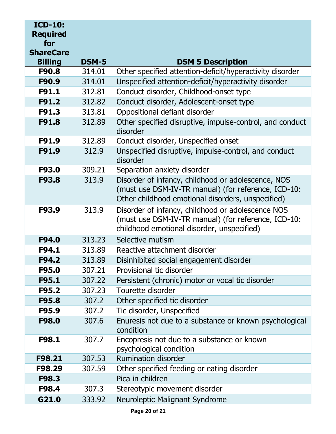| <b>ICD-10:</b><br><b>Required</b><br>for<br><b>ShareCare</b> |              |                                                                                                                                                                |
|--------------------------------------------------------------|--------------|----------------------------------------------------------------------------------------------------------------------------------------------------------------|
| <b>Billing</b>                                               | <b>DSM-5</b> | <b>DSM 5 Description</b>                                                                                                                                       |
| F90.8                                                        | 314.01       | Other specified attention-deficit/hyperactivity disorder                                                                                                       |
| F90.9                                                        | 314.01       | Unspecified attention-deficit/hyperactivity disorder                                                                                                           |
| F91.1                                                        | 312.81       | Conduct disorder, Childhood-onset type                                                                                                                         |
| F91.2                                                        | 312.82       | Conduct disorder, Adolescent-onset type                                                                                                                        |
| F91.3                                                        | 313.81       | Oppositional defiant disorder                                                                                                                                  |
| F91.8                                                        | 312.89       | Other specified disruptive, impulse-control, and conduct<br>disorder                                                                                           |
| F91.9                                                        | 312.89       | Conduct disorder, Unspecified onset                                                                                                                            |
| F91.9                                                        | 312.9        | Unspecified disruptive, impulse-control, and conduct<br>disorder                                                                                               |
| F93.0                                                        | 309.21       | Separation anxiety disorder                                                                                                                                    |
| F93.8                                                        | 313.9        | Disorder of infancy, childhood or adolescence, NOS<br>(must use DSM-IV-TR manual) (for reference, ICD-10:<br>Other childhood emotional disorders, unspecified) |
| F93.9                                                        | 313.9        | Disorder of infancy, childhood or adolescence NOS<br>(must use DSM-IV-TR manual) (for reference, ICD-10:<br>childhood emotional disorder, unspecified)         |
| F94.0                                                        | 313.23       | Selective mutism                                                                                                                                               |
| F94.1                                                        | 313.89       | Reactive attachment disorder                                                                                                                                   |
| F94.2                                                        | 313.89       | Disinhibited social engagement disorder                                                                                                                        |
| F95.0                                                        | 307.21       | Provisional tic disorder                                                                                                                                       |
| F95.1                                                        | 307.22       | Persistent (chronic) motor or vocal tic disorder                                                                                                               |
| F95.2                                                        | 307.23       | Tourette disorder                                                                                                                                              |
| F95.8                                                        | 307.2        | Other specified tic disorder                                                                                                                                   |
| F95.9                                                        | 307.2        | Tic disorder, Unspecified                                                                                                                                      |
| F98.0                                                        | 307.6        | Enuresis not due to a substance or known psychological<br>condition                                                                                            |
| F98.1                                                        | 307.7        | Encopresis not due to a substance or known<br>psychological condition                                                                                          |
| F98.21                                                       | 307.53       | <b>Rumination disorder</b>                                                                                                                                     |
| F98.29                                                       | 307.59       | Other specified feeding or eating disorder                                                                                                                     |
| F98.3                                                        |              | Pica in children                                                                                                                                               |
| F98.4                                                        | 307.3        | Stereotypic movement disorder                                                                                                                                  |
| G21.0                                                        | 333.92       | Neuroleptic Malignant Syndrome                                                                                                                                 |